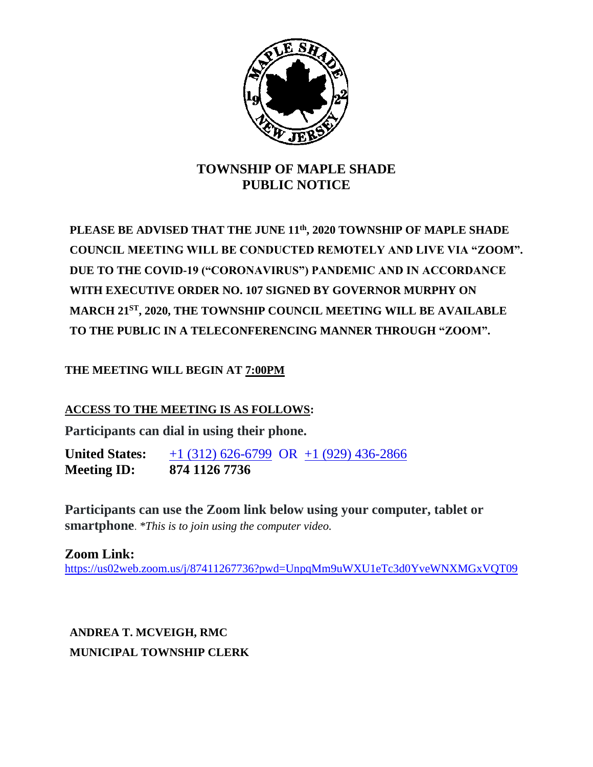

## **TOWNSHIP OF MAPLE SHADE PUBLIC NOTICE**

**PLEASE BE ADVISED THAT THE JUNE 11th, 2020 TOWNSHIP OF MAPLE SHADE COUNCIL MEETING WILL BE CONDUCTED REMOTELY AND LIVE VIA "ZOOM". DUE TO THE COVID-19 ("CORONAVIRUS") PANDEMIC AND IN ACCORDANCE WITH EXECUTIVE ORDER NO. 107 SIGNED BY GOVERNOR MURPHY ON MARCH 21ST, 2020, THE TOWNSHIP COUNCIL MEETING WILL BE AVAILABLE TO THE PUBLIC IN A TELECONFERENCING MANNER THROUGH "ZOOM".**

**THE MEETING WILL BEGIN AT 7:00PM**

**ACCESS TO THE MEETING IS AS FOLLOWS:**

**Participants can dial in using their phone.**

**United States:** [+1 \(312\) 626-6799](tel:+16467493122,,718898005) OR +1 (929) 436-2866 **Meeting ID: 874 1126 7736**

**Participants can use the Zoom link below using your computer, tablet or smartphone**. *\*This is to join using the computer video.*

**Zoom Link:** <https://us02web.zoom.us/j/87411267736?pwd=UnpqMm9uWXU1eTc3d0YveWNXMGxVQT09>

**ANDREA T. MCVEIGH, RMC MUNICIPAL TOWNSHIP CLERK**